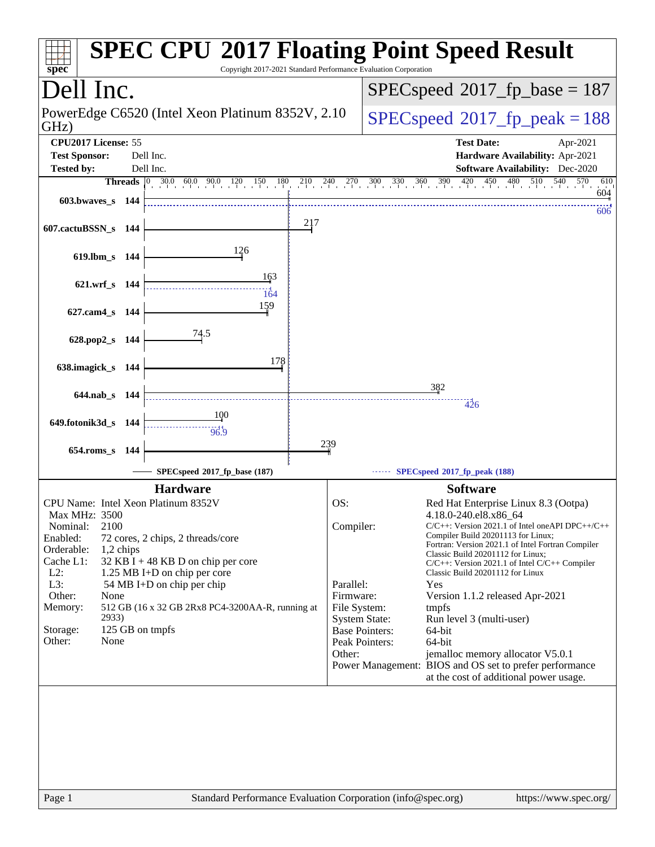| spec®                                                     |           | Copyright 2017-2021 Standard Performance Evaluation Corporation |     |                        |                                         | <b>SPEC CPU®2017 Floating Point Speed Result</b>                                                                                                                                     |
|-----------------------------------------------------------|-----------|-----------------------------------------------------------------|-----|------------------------|-----------------------------------------|--------------------------------------------------------------------------------------------------------------------------------------------------------------------------------------|
| Dell Inc.                                                 |           |                                                                 |     |                        |                                         | $SPEC speed^{\circ}2017\_fp\_base = 187$                                                                                                                                             |
| PowerEdge C6520 (Intel Xeon Platinum 8352V, 2.10)<br>GHz) |           |                                                                 |     |                        |                                         | $SPEC speed^{\circ}2017$ fp peak = 188                                                                                                                                               |
| CPU2017 License: 55                                       |           |                                                                 |     |                        |                                         | <b>Test Date:</b><br>Apr-2021                                                                                                                                                        |
| <b>Test Sponsor:</b><br>Dell Inc.                         |           |                                                                 |     |                        |                                         | Hardware Availability: Apr-2021                                                                                                                                                      |
| <b>Tested by:</b>                                         |           | Dell Inc.                                                       |     |                        |                                         | <b>Software Availability:</b> Dec-2020                                                                                                                                               |
| $603.bwaves$ s 144                                        |           |                                                                 |     |                        |                                         | <b>Threads</b> $\begin{bmatrix} 0 & 30.0 & 60.0 & 90.0 & 120 & 150 & 180 & 210 & 240 & 270 & 300 & 330 & 360 & 390 & 420 & 450 & 480 & 510 & 540 \end{bmatrix}$<br>610<br>570<br>604 |
|                                                           |           |                                                                 |     |                        |                                         | 606                                                                                                                                                                                  |
| 607.cactuBSSN_s 144                                       |           |                                                                 | 217 |                        |                                         |                                                                                                                                                                                      |
| 619.lbm_s 144                                             |           | 126                                                             |     |                        |                                         |                                                                                                                                                                                      |
| 621.wrf_s 144                                             |           | 163<br>164                                                      |     |                        |                                         |                                                                                                                                                                                      |
| 627.cam4_s 144                                            |           | 159                                                             |     |                        |                                         |                                                                                                                                                                                      |
| 628.pop2_s 144                                            |           | 74.5<br>178                                                     |     |                        |                                         |                                                                                                                                                                                      |
| 638.imagick_s 144                                         |           |                                                                 |     |                        |                                         |                                                                                                                                                                                      |
| 644.nab s 144                                             |           |                                                                 |     |                        |                                         | 382<br>426                                                                                                                                                                           |
| 649.fotonik3d_s 144                                       |           | 100<br>96.9                                                     |     |                        |                                         |                                                                                                                                                                                      |
| $654$ .roms_s                                             | - 144     |                                                                 |     | 239                    |                                         |                                                                                                                                                                                      |
|                                                           |           | SPECspeed®2017_fp_base (187)                                    |     |                        |                                         | SPECspeed®2017_fp_peak (188)                                                                                                                                                         |
|                                                           |           | <b>Hardware</b>                                                 |     |                        |                                         | <b>Software</b>                                                                                                                                                                      |
|                                                           |           | CPU Name: Intel Xeon Platinum 8352V                             |     | OS:                    |                                         | Red Hat Enterprise Linux 8.3 (Ootpa)                                                                                                                                                 |
| Max MHz: 3500                                             |           |                                                                 |     |                        |                                         | 4.18.0-240.el8.x86_64                                                                                                                                                                |
| Nominal:<br>2100<br>Enabled:                              |           | 72 cores, 2 chips, 2 threads/core                               |     | Compiler:              |                                         | $C/C++$ : Version 2021.1 of Intel one API DPC++/C++<br>Compiler Build 20201113 for Linux;                                                                                            |
| Orderable:                                                | 1,2 chips |                                                                 |     |                        |                                         | Fortran: Version 2021.1 of Intel Fortran Compiler                                                                                                                                    |
| Cache L1:                                                 |           | 32 KB I + 48 KB D on chip per core                              |     |                        |                                         | Classic Build 20201112 for Linux;<br>$C/C++$ : Version 2021.1 of Intel $C/C++$ Compiler                                                                                              |
| $L2$ :                                                    |           | 1.25 MB I+D on chip per core                                    |     |                        |                                         | Classic Build 20201112 for Linux                                                                                                                                                     |
| L3:<br>Other:<br>None                                     |           | 54 MB I+D on chip per chip                                      |     | Parallel:<br>Firmware: |                                         | Yes<br>Version 1.1.2 released Apr-2021                                                                                                                                               |
| Memory:                                                   |           | 512 GB (16 x 32 GB 2Rx8 PC4-3200AA-R, running at                |     | File System:           |                                         | tmpfs                                                                                                                                                                                |
| 2933)                                                     |           |                                                                 |     |                        | <b>System State:</b>                    | Run level 3 (multi-user)                                                                                                                                                             |
| Storage:<br>Other:<br>None                                |           | 125 GB on tmpfs                                                 |     |                        | <b>Base Pointers:</b><br>Peak Pointers: | 64-bit<br>64-bit                                                                                                                                                                     |
|                                                           |           |                                                                 |     | Other:                 |                                         | jemalloc memory allocator V5.0.1                                                                                                                                                     |
|                                                           |           |                                                                 |     |                        |                                         | Power Management: BIOS and OS set to prefer performance<br>at the cost of additional power usage.                                                                                    |
|                                                           |           |                                                                 |     |                        |                                         |                                                                                                                                                                                      |
|                                                           |           |                                                                 |     |                        |                                         |                                                                                                                                                                                      |
|                                                           |           |                                                                 |     |                        |                                         |                                                                                                                                                                                      |
| Page 1                                                    |           | Standard Performance Evaluation Corporation (info@spec.org)     |     |                        |                                         | https://www.spec.org/                                                                                                                                                                |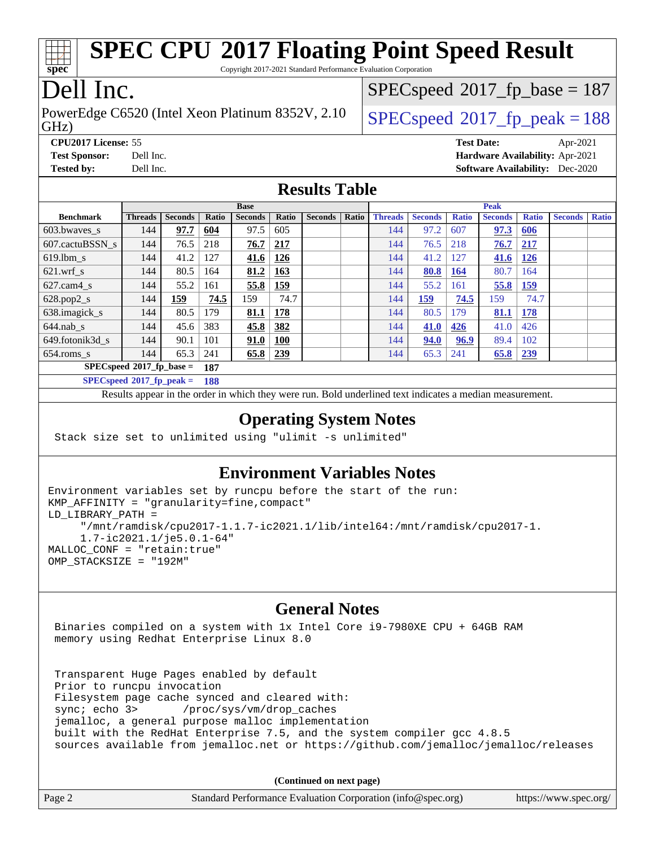# **[SPEC CPU](http://www.spec.org/auto/cpu2017/Docs/result-fields.html#SPECCPU2017FloatingPointSpeedResult)[2017 Floating Point Speed Result](http://www.spec.org/auto/cpu2017/Docs/result-fields.html#SPECCPU2017FloatingPointSpeedResult)**

Copyright 2017-2021 Standard Performance Evaluation Corporation

## Dell Inc.

**[spec](http://www.spec.org/)**

GHz) PowerEdge C6520 (Intel Xeon Platinum 8352V, 2.10  $\big|$  [SPECspeed](http://www.spec.org/auto/cpu2017/Docs/result-fields.html#SPECspeed2017fppeak)<sup>®</sup>2017 fp\_peak = 188

[SPECspeed](http://www.spec.org/auto/cpu2017/Docs/result-fields.html#SPECspeed2017fpbase)<sup>®</sup>2017 fp base = 187

**[CPU2017 License:](http://www.spec.org/auto/cpu2017/Docs/result-fields.html#CPU2017License)** 55 **[Test Date:](http://www.spec.org/auto/cpu2017/Docs/result-fields.html#TestDate)** Apr-2021 **[Test Sponsor:](http://www.spec.org/auto/cpu2017/Docs/result-fields.html#TestSponsor)** Dell Inc. **[Hardware Availability:](http://www.spec.org/auto/cpu2017/Docs/result-fields.html#HardwareAvailability)** Apr-2021 **[Tested by:](http://www.spec.org/auto/cpu2017/Docs/result-fields.html#Testedby)** Dell Inc. **[Software Availability:](http://www.spec.org/auto/cpu2017/Docs/result-fields.html#SoftwareAvailability)** Dec-2020

#### **[Results Table](http://www.spec.org/auto/cpu2017/Docs/result-fields.html#ResultsTable)**

|                             | <b>Base</b>    |                |       |                |            |                | <b>Peak</b> |                |                |              |                |              |                |              |
|-----------------------------|----------------|----------------|-------|----------------|------------|----------------|-------------|----------------|----------------|--------------|----------------|--------------|----------------|--------------|
| <b>Benchmark</b>            | <b>Threads</b> | <b>Seconds</b> | Ratio | <b>Seconds</b> | Ratio      | <b>Seconds</b> | Ratio       | <b>Threads</b> | <b>Seconds</b> | <b>Ratio</b> | <b>Seconds</b> | <b>Ratio</b> | <b>Seconds</b> | <b>Ratio</b> |
| $603.bwaves$ s              | 144            | 97.7           | 604   | 97.5           | 605        |                |             | 144            | 97.2           | 607          | 97.3           | 606          |                |              |
| 607.cactuBSSN s             | 144            | 76.5           | 218   | 76.7           | 217        |                |             | 144            | 76.5           | 218          | 76.7           | 217          |                |              |
| $619.$ lbm s                | 144            | 41.2           | 127   | 41.6           | 126        |                |             | 144            | 41.2           | 127          | 41.6           | 126          |                |              |
| $621.wrf$ s                 | 144            | 80.5           | 164   | 81.2           | 163        |                |             | 144            | 80.8           | <b>164</b>   | 80.7           | 164          |                |              |
| $627$ .cam $4 \text{ s}$    | 144            | 55.2           | 161   | 55.8           | <u>159</u> |                |             | 144            | 55.2           | 161          | 55.8           | <u>159</u>   |                |              |
| $628.pop2_s$                | 144            | 159            | 74.5  | 159            | 74.7       |                |             | 144            | <u>159</u>     | 74.5         | 159            | 74.7         |                |              |
| 638.imagick_s               | 144            | 80.5           | 179   | 81.1           | 178        |                |             | 144            | 80.5           | 179          | 81.1           | <u>178</u>   |                |              |
| $644$ .nab s                | 144            | 45.6           | 383   | 45.8           | 382        |                |             | 144            | 41.0           | 426          | 41.0           | 426          |                |              |
| 649.fotonik3d s             | 144            | 90.1           | 101   | <u>91.0</u>    | <b>100</b> |                |             | 144            | 94.0           | 96.9         | 89.4           | 102          |                |              |
| $654$ .roms_s               | 144            | 65.3           | 241   | 65.8           | 239        |                |             | 144            | 65.3           | 241          | 65.8           | 239          |                |              |
| $SPECspeed*2017$ fp base =  |                |                | 187   |                |            |                |             |                |                |              |                |              |                |              |
| $SPECspeed*2017_fp\_peak =$ |                |                | 188   |                |            |                |             |                |                |              |                |              |                |              |

Results appear in the [order in which they were run.](http://www.spec.org/auto/cpu2017/Docs/result-fields.html#RunOrder) Bold underlined text [indicates a median measurement.](http://www.spec.org/auto/cpu2017/Docs/result-fields.html#Median)

#### **[Operating System Notes](http://www.spec.org/auto/cpu2017/Docs/result-fields.html#OperatingSystemNotes)**

Stack size set to unlimited using "ulimit -s unlimited"

#### **[Environment Variables Notes](http://www.spec.org/auto/cpu2017/Docs/result-fields.html#EnvironmentVariablesNotes)**

```
Environment variables set by runcpu before the start of the run:
KMP_AFFINITY = "granularity=fine,compact"
LD_LIBRARY_PATH =
      "/mnt/ramdisk/cpu2017-1.1.7-ic2021.1/lib/intel64:/mnt/ramdisk/cpu2017-1.
      1.7-ic2021.1/je5.0.1-64"
MALLOC_CONF = "retain:true"
OMP_STACKSIZE = "192M"
```
#### **[General Notes](http://www.spec.org/auto/cpu2017/Docs/result-fields.html#GeneralNotes)**

 Binaries compiled on a system with 1x Intel Core i9-7980XE CPU + 64GB RAM memory using Redhat Enterprise Linux 8.0

 Transparent Huge Pages enabled by default Prior to runcpu invocation Filesystem page cache synced and cleared with: sync; echo 3> /proc/sys/vm/drop\_caches jemalloc, a general purpose malloc implementation built with the RedHat Enterprise 7.5, and the system compiler gcc 4.8.5 sources available from jemalloc.net or <https://github.com/jemalloc/jemalloc/releases>

**(Continued on next page)**

| Page 2 | Standard Performance Evaluation Corporation (info@spec.org) | https://www.spec.org/ |
|--------|-------------------------------------------------------------|-----------------------|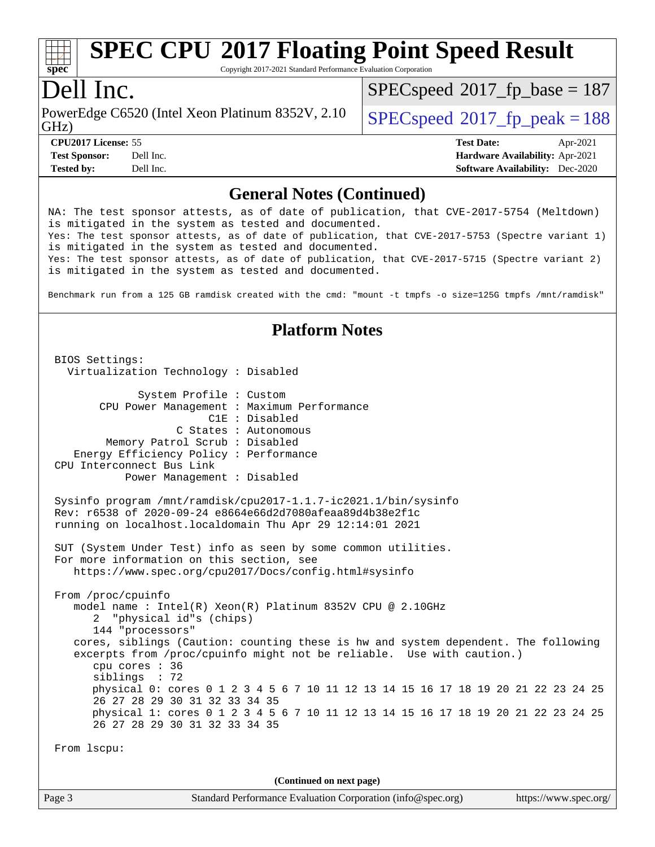# **[SPEC CPU](http://www.spec.org/auto/cpu2017/Docs/result-fields.html#SPECCPU2017FloatingPointSpeedResult)[2017 Floating Point Speed Result](http://www.spec.org/auto/cpu2017/Docs/result-fields.html#SPECCPU2017FloatingPointSpeedResult)**

Copyright 2017-2021 Standard Performance Evaluation Corporation

### Dell Inc.

GHz) PowerEdge C6520 (Intel Xeon Platinum 8352V, 2.10  $\big|$  [SPECspeed](http://www.spec.org/auto/cpu2017/Docs/result-fields.html#SPECspeed2017fppeak)<sup>®</sup>2017 fp\_peak = 188

 $SPEC speed$ <sup>®</sup> $2017$ \_fp\_base = 187

**[Tested by:](http://www.spec.org/auto/cpu2017/Docs/result-fields.html#Testedby)** Dell Inc. **[Software Availability:](http://www.spec.org/auto/cpu2017/Docs/result-fields.html#SoftwareAvailability)** Dec-2020

**[CPU2017 License:](http://www.spec.org/auto/cpu2017/Docs/result-fields.html#CPU2017License)** 55 **[Test Date:](http://www.spec.org/auto/cpu2017/Docs/result-fields.html#TestDate)** Apr-2021 **[Test Sponsor:](http://www.spec.org/auto/cpu2017/Docs/result-fields.html#TestSponsor)** Dell Inc. **[Hardware Availability:](http://www.spec.org/auto/cpu2017/Docs/result-fields.html#HardwareAvailability)** Apr-2021

#### **[General Notes \(Continued\)](http://www.spec.org/auto/cpu2017/Docs/result-fields.html#GeneralNotes)**

NA: The test sponsor attests, as of date of publication, that CVE-2017-5754 (Meltdown) is mitigated in the system as tested and documented. Yes: The test sponsor attests, as of date of publication, that CVE-2017-5753 (Spectre variant 1) is mitigated in the system as tested and documented. Yes: The test sponsor attests, as of date of publication, that CVE-2017-5715 (Spectre variant 2) is mitigated in the system as tested and documented. Benchmark run from a 125 GB ramdisk created with the cmd: "mount -t tmpfs -o size=125G tmpfs /mnt/ramdisk" **[Platform Notes](http://www.spec.org/auto/cpu2017/Docs/result-fields.html#PlatformNotes)** BIOS Settings: Virtualization Technology : Disabled System Profile : Custom CPU Power Management : Maximum Performance C1E : Disabled C States : Autonomous Memory Patrol Scrub : Disabled Energy Efficiency Policy : Performance CPU Interconnect Bus Link Power Management : Disabled Sysinfo program /mnt/ramdisk/cpu2017-1.1.7-ic2021.1/bin/sysinfo Rev: r6538 of 2020-09-24 e8664e66d2d7080afeaa89d4b38e2f1c running on localhost.localdomain Thu Apr 29 12:14:01 2021 SUT (System Under Test) info as seen by some common utilities. For more information on this section, see <https://www.spec.org/cpu2017/Docs/config.html#sysinfo> From /proc/cpuinfo model name : Intel(R) Xeon(R) Platinum 8352V CPU @ 2.10GHz 2 "physical id"s (chips) 144 "processors" cores, siblings (Caution: counting these is hw and system dependent. The following excerpts from /proc/cpuinfo might not be reliable. Use with caution.) cpu cores : 36 siblings : 72 physical 0: cores 0 1 2 3 4 5 6 7 10 11 12 13 14 15 16 17 18 19 20 21 22 23 24 25 26 27 28 29 30 31 32 33 34 35 physical 1: cores 0 1 2 3 4 5 6 7 10 11 12 13 14 15 16 17 18 19 20 21 22 23 24 25 26 27 28 29 30 31 32 33 34 35 From lscpu: **(Continued on next page)**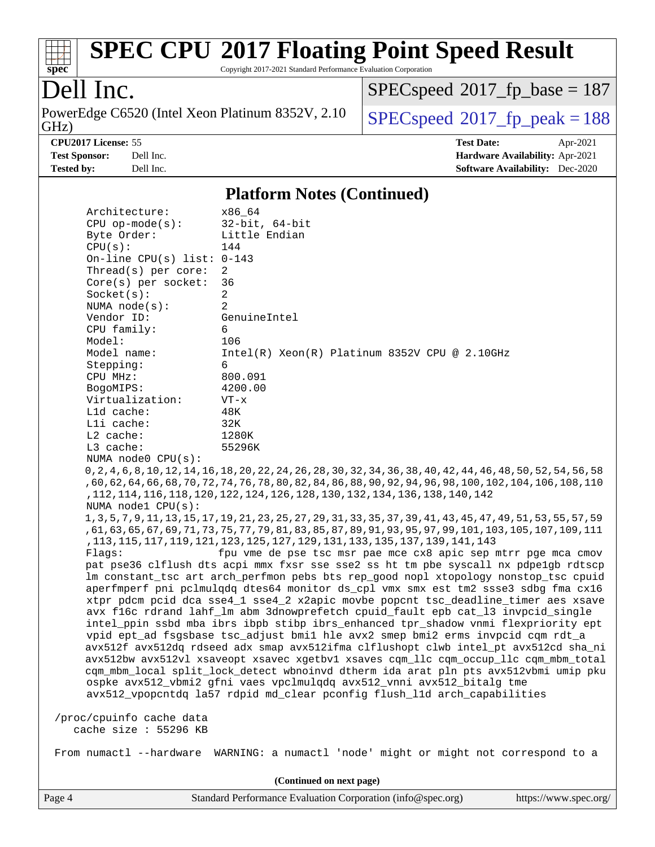

# **[SPEC CPU](http://www.spec.org/auto/cpu2017/Docs/result-fields.html#SPECCPU2017FloatingPointSpeedResult)[2017 Floating Point Speed Result](http://www.spec.org/auto/cpu2017/Docs/result-fields.html#SPECCPU2017FloatingPointSpeedResult)**

Copyright 2017-2021 Standard Performance Evaluation Corporation

## Dell Inc.

PowerEdge C6520 (Intel Xeon Platinum 8352V, 2.10 GHz)

 $SPEC speed$ <sup>®</sup> $2017$ \_fp\_base = 187

 $SPECspeed*2017_fp\_peak = 188$  $SPECspeed*2017_fp\_peak = 188$ **[CPU2017 License:](http://www.spec.org/auto/cpu2017/Docs/result-fields.html#CPU2017License)** 55 **[Test Date:](http://www.spec.org/auto/cpu2017/Docs/result-fields.html#TestDate)** Apr-2021

**[Test Sponsor:](http://www.spec.org/auto/cpu2017/Docs/result-fields.html#TestSponsor)** Dell Inc. **[Hardware Availability:](http://www.spec.org/auto/cpu2017/Docs/result-fields.html#HardwareAvailability)** Apr-2021 **[Tested by:](http://www.spec.org/auto/cpu2017/Docs/result-fields.html#Testedby)** Dell Inc. **[Software Availability:](http://www.spec.org/auto/cpu2017/Docs/result-fields.html#SoftwareAvailability)** Dec-2020

#### **[Platform Notes \(Continued\)](http://www.spec.org/auto/cpu2017/Docs/result-fields.html#PlatformNotes)**

| Architecture:                                                                                                                                                                | x86 64                                                                                                                                                                |  |  |  |  |  |
|------------------------------------------------------------------------------------------------------------------------------------------------------------------------------|-----------------------------------------------------------------------------------------------------------------------------------------------------------------------|--|--|--|--|--|
| $CPU$ op-mode( $s$ ):                                                                                                                                                        | $32$ -bit, $64$ -bit                                                                                                                                                  |  |  |  |  |  |
| Byte Order:                                                                                                                                                                  | Little Endian                                                                                                                                                         |  |  |  |  |  |
| CPU(s):                                                                                                                                                                      | 144                                                                                                                                                                   |  |  |  |  |  |
| On-line CPU(s) list: $0-143$                                                                                                                                                 |                                                                                                                                                                       |  |  |  |  |  |
| Thread( $s$ ) per core:                                                                                                                                                      | 2                                                                                                                                                                     |  |  |  |  |  |
| $Core(s)$ per socket:                                                                                                                                                        | 36                                                                                                                                                                    |  |  |  |  |  |
| Socket(s):                                                                                                                                                                   | 2                                                                                                                                                                     |  |  |  |  |  |
| NUMA $node(s):$                                                                                                                                                              | $\overline{2}$                                                                                                                                                        |  |  |  |  |  |
| Vendor ID:                                                                                                                                                                   | GenuineIntel                                                                                                                                                          |  |  |  |  |  |
| CPU family:                                                                                                                                                                  | 6                                                                                                                                                                     |  |  |  |  |  |
| Model:                                                                                                                                                                       | 106                                                                                                                                                                   |  |  |  |  |  |
| Model name:                                                                                                                                                                  | $Intel(R) Xeon(R) Platinum 8352V CPU @ 2.10GHz$                                                                                                                       |  |  |  |  |  |
| Stepping:                                                                                                                                                                    | 6                                                                                                                                                                     |  |  |  |  |  |
| CPU MHz:                                                                                                                                                                     | 800.091                                                                                                                                                               |  |  |  |  |  |
| BogoMIPS:                                                                                                                                                                    | 4200.00                                                                                                                                                               |  |  |  |  |  |
| Virtualization:                                                                                                                                                              | $VT - x$                                                                                                                                                              |  |  |  |  |  |
| L1d cache:                                                                                                                                                                   | 48K                                                                                                                                                                   |  |  |  |  |  |
| Lli cache:                                                                                                                                                                   | 32K                                                                                                                                                                   |  |  |  |  |  |
| $L2$ cache:                                                                                                                                                                  | 1280K                                                                                                                                                                 |  |  |  |  |  |
| L3 cache:                                                                                                                                                                    | 55296K                                                                                                                                                                |  |  |  |  |  |
| NUMA node0 CPU(s):                                                                                                                                                           |                                                                                                                                                                       |  |  |  |  |  |
|                                                                                                                                                                              | 0, 2, 4, 6, 8, 10, 12, 14, 16, 18, 20, 22, 24, 26, 28, 30, 32, 34, 36, 38, 40, 42, 44, 46, 48, 50, 52, 54, 56, 58                                                     |  |  |  |  |  |
|                                                                                                                                                                              | ,60,62,64,66,68,70,72,74,76,78,80,82,84,86,88,90,92,94,96,98,100,102,104,106,108,110                                                                                  |  |  |  |  |  |
|                                                                                                                                                                              | , 112, 114, 116, 118, 120, 122, 124, 126, 128, 130, 132, 134, 136, 138, 140, 142                                                                                      |  |  |  |  |  |
| NUMA node1 CPU(s):                                                                                                                                                           |                                                                                                                                                                       |  |  |  |  |  |
|                                                                                                                                                                              | 1, 3, 5, 7, 9, 11, 13, 15, 17, 19, 21, 23, 25, 27, 29, 31, 33, 35, 37, 39, 41, 43, 45, 47, 49, 51, 53, 55, 57, 59                                                     |  |  |  |  |  |
|                                                                                                                                                                              | ,61,63,65,67,69,71,73,75,77,79,81,83,85,87,89,91,93,95,97,99,101,103,105,107,109,111                                                                                  |  |  |  |  |  |
|                                                                                                                                                                              | , 113, 115, 117, 119, 121, 125, 127, 127, 129, 131, 133, 135, 137, 139, 141, 143                                                                                      |  |  |  |  |  |
| Flaqs:                                                                                                                                                                       | fpu vme de pse tsc msr pae mce cx8 apic sep mtrr pge mca cmov                                                                                                         |  |  |  |  |  |
| pat pse36 clflush dts acpi mmx fxsr sse sse2 ss ht tm pbe syscall nx pdpelgb rdtscp                                                                                          |                                                                                                                                                                       |  |  |  |  |  |
| lm constant_tsc art arch_perfmon pebs bts rep_good nopl xtopology nonstop_tsc cpuid                                                                                          |                                                                                                                                                                       |  |  |  |  |  |
| aperfmperf pni pclmulgdg dtes64 monitor ds_cpl vmx smx est tm2 ssse3 sdbg fma cx16                                                                                           |                                                                                                                                                                       |  |  |  |  |  |
|                                                                                                                                                                              | xtpr pdcm pcid dca sse4_1 sse4_2 x2apic movbe popcnt tsc_deadline_timer aes xsave                                                                                     |  |  |  |  |  |
|                                                                                                                                                                              |                                                                                                                                                                       |  |  |  |  |  |
|                                                                                                                                                                              | avx f16c rdrand lahf_lm abm 3dnowprefetch cpuid_fault epb cat_13 invpcid_single<br>intel_ppin ssbd mba ibrs ibpb stibp ibrs_enhanced tpr_shadow vnmi flexpriority ept |  |  |  |  |  |
|                                                                                                                                                                              |                                                                                                                                                                       |  |  |  |  |  |
|                                                                                                                                                                              | vpid ept_ad fsgsbase tsc_adjust bmil hle avx2 smep bmi2 erms invpcid cqm rdt_a                                                                                        |  |  |  |  |  |
| avx512f avx512dq rdseed adx smap avx512ifma clflushopt clwb intel_pt avx512cd sha_ni<br>avx512bw avx512vl xsaveopt xsavec xgetbvl xsaves cqm_llc cqm_occup_llc cqm_mbm_total |                                                                                                                                                                       |  |  |  |  |  |
| cqm_mbm_local split_lock_detect wbnoinvd dtherm ida arat pln pts avx512vbmi umip pku                                                                                         |                                                                                                                                                                       |  |  |  |  |  |
|                                                                                                                                                                              |                                                                                                                                                                       |  |  |  |  |  |
|                                                                                                                                                                              | ospke avx512_vbmi2 gfni vaes vpclmulgdq avx512_vnni avx512_bitalg tme<br>avx512_vpopcntdq la57 rdpid md_clear pconfig flush_11d arch_capabilities                     |  |  |  |  |  |
|                                                                                                                                                                              |                                                                                                                                                                       |  |  |  |  |  |
| /proc/cpuinfo cache data                                                                                                                                                     |                                                                                                                                                                       |  |  |  |  |  |
| cache size : 55296 KB                                                                                                                                                        |                                                                                                                                                                       |  |  |  |  |  |
|                                                                                                                                                                              |                                                                                                                                                                       |  |  |  |  |  |
| From numactl --hardware                                                                                                                                                      | WARNING: a numactl 'node' might or might not correspond to a                                                                                                          |  |  |  |  |  |

Page 4 Standard Performance Evaluation Corporation [\(info@spec.org\)](mailto:info@spec.org) <https://www.spec.org/> **(Continued on next page)**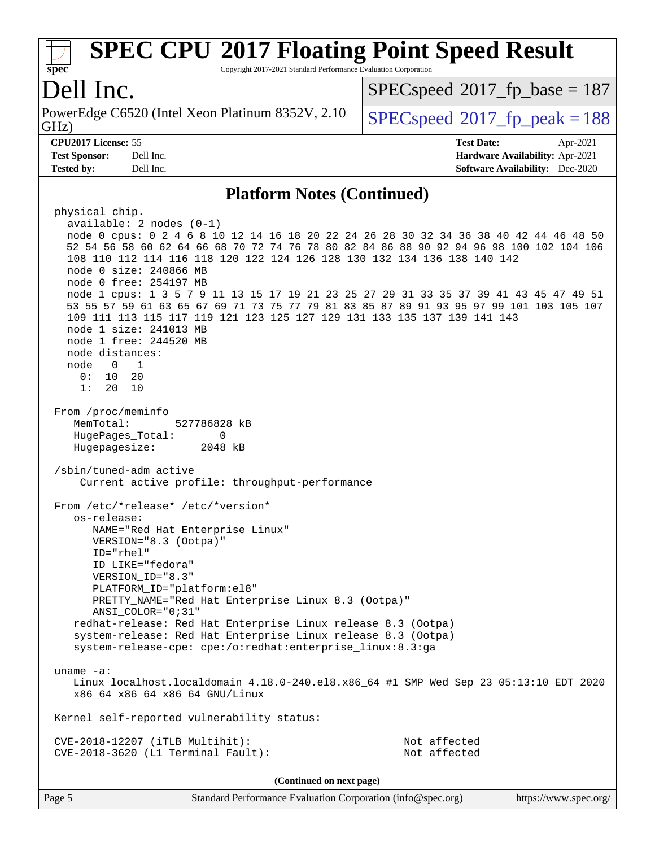#### **[spec](http://www.spec.org/) [SPEC CPU](http://www.spec.org/auto/cpu2017/Docs/result-fields.html#SPECCPU2017FloatingPointSpeedResult)[2017 Floating Point Speed Result](http://www.spec.org/auto/cpu2017/Docs/result-fields.html#SPECCPU2017FloatingPointSpeedResult)** Copyright 2017-2021 Standard Performance Evaluation Corporation Dell Inc. GHz) PowerEdge C6520 (Intel Xeon Platinum 8352V, 2.10  $\big|$  [SPECspeed](http://www.spec.org/auto/cpu2017/Docs/result-fields.html#SPECspeed2017fppeak)<sup>®</sup>2017 fp\_peak = 188 [SPECspeed](http://www.spec.org/auto/cpu2017/Docs/result-fields.html#SPECspeed2017fpbase)<sup>®</sup>2017 fp base = 187 **[CPU2017 License:](http://www.spec.org/auto/cpu2017/Docs/result-fields.html#CPU2017License)** 55 **[Test Date:](http://www.spec.org/auto/cpu2017/Docs/result-fields.html#TestDate)** Apr-2021 **[Test Sponsor:](http://www.spec.org/auto/cpu2017/Docs/result-fields.html#TestSponsor)** Dell Inc. **[Hardware Availability:](http://www.spec.org/auto/cpu2017/Docs/result-fields.html#HardwareAvailability)** Apr-2021 **[Tested by:](http://www.spec.org/auto/cpu2017/Docs/result-fields.html#Testedby)** Dell Inc. **[Software Availability:](http://www.spec.org/auto/cpu2017/Docs/result-fields.html#SoftwareAvailability)** Dec-2020 **[Platform Notes \(Continued\)](http://www.spec.org/auto/cpu2017/Docs/result-fields.html#PlatformNotes)** physical chip. available: 2 nodes (0-1) node 0 cpus: 0 2 4 6 8 10 12 14 16 18 20 22 24 26 28 30 32 34 36 38 40 42 44 46 48 50 52 54 56 58 60 62 64 66 68 70 72 74 76 78 80 82 84 86 88 90 92 94 96 98 100 102 104 106 108 110 112 114 116 118 120 122 124 126 128 130 132 134 136 138 140 142 node 0 size: 240866 MB node 0 free: 254197 MB node 1 cpus: 1 3 5 7 9 11 13 15 17 19 21 23 25 27 29 31 33 35 37 39 41 43 45 47 49 51 53 55 57 59 61 63 65 67 69 71 73 75 77 79 81 83 85 87 89 91 93 95 97 99 101 103 105 107 109 111 113 115 117 119 121 123 125 127 129 131 133 135 137 139 141 143 node 1 size: 241013 MB node 1 free: 244520 MB node distances: node 0 1 0: 10 20 1: 20 10 From /proc/meminfo MemTotal: 527786828 kB HugePages\_Total: 0 Hugepagesize: 2048 kB /sbin/tuned-adm active Current active profile: throughput-performance From /etc/\*release\* /etc/\*version\* os-release: NAME="Red Hat Enterprise Linux" VERSION="8.3 (Ootpa)" ID="rhel" ID\_LIKE="fedora" VERSION\_ID="8.3" PLATFORM\_ID="platform:el8" PRETTY\_NAME="Red Hat Enterprise Linux 8.3 (Ootpa)" ANSI\_COLOR="0;31" redhat-release: Red Hat Enterprise Linux release 8.3 (Ootpa) system-release: Red Hat Enterprise Linux release 8.3 (Ootpa) system-release-cpe: cpe:/o:redhat:enterprise\_linux:8.3:ga uname -a: Linux localhost.localdomain 4.18.0-240.el8.x86\_64 #1 SMP Wed Sep 23 05:13:10 EDT 2020 x86\_64 x86\_64 x86\_64 GNU/Linux Kernel self-reported vulnerability status: CVE-2018-12207 (iTLB Multihit): Not affected CVE-2018-3620 (L1 Terminal Fault): Not affected **(Continued on next page)**

Page 5 Standard Performance Evaluation Corporation [\(info@spec.org\)](mailto:info@spec.org) <https://www.spec.org/>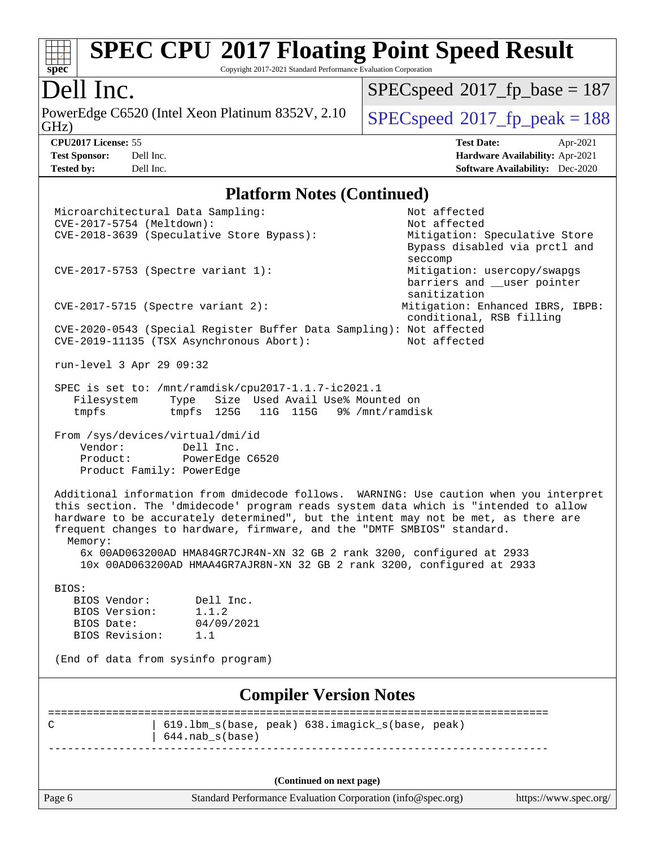# **[SPEC CPU](http://www.spec.org/auto/cpu2017/Docs/result-fields.html#SPECCPU2017FloatingPointSpeedResult)[2017 Floating Point Speed Result](http://www.spec.org/auto/cpu2017/Docs/result-fields.html#SPECCPU2017FloatingPointSpeedResult)**

Copyright 2017-2021 Standard Performance Evaluation Corporation

Dell Inc.<br>PowerEdge C6520 (Intel Xeon Platinum 8352V, 2.10 GHz)

 $SPECspeed*2017_fp\_peak = 188$  $SPECspeed*2017_fp\_peak = 188$  $SPEC speed$ <sup>®</sup> $2017$ \_fp\_base = 187

**[Tested by:](http://www.spec.org/auto/cpu2017/Docs/result-fields.html#Testedby)** Dell Inc. **[Software Availability:](http://www.spec.org/auto/cpu2017/Docs/result-fields.html#SoftwareAvailability)** Dec-2020

**[CPU2017 License:](http://www.spec.org/auto/cpu2017/Docs/result-fields.html#CPU2017License)** 55 **[Test Date:](http://www.spec.org/auto/cpu2017/Docs/result-fields.html#TestDate)** Apr-2021 **[Test Sponsor:](http://www.spec.org/auto/cpu2017/Docs/result-fields.html#TestSponsor)** Dell Inc. **[Hardware Availability:](http://www.spec.org/auto/cpu2017/Docs/result-fields.html#HardwareAvailability)** Apr-2021

#### **[Platform Notes \(Continued\)](http://www.spec.org/auto/cpu2017/Docs/result-fields.html#PlatformNotes)**

| Microarchitectural Data Sampling:<br>CVE-2017-5754 (Meltdown):                                                                                                                                                                                                                                                                                                                                                                      | Not affected<br>Not affected                                               |
|-------------------------------------------------------------------------------------------------------------------------------------------------------------------------------------------------------------------------------------------------------------------------------------------------------------------------------------------------------------------------------------------------------------------------------------|----------------------------------------------------------------------------|
| CVE-2018-3639 (Speculative Store Bypass):                                                                                                                                                                                                                                                                                                                                                                                           | Mitigation: Speculative Store<br>Bypass disabled via prctl and<br>seccomp  |
| $CVE-2017-5753$ (Spectre variant 1):                                                                                                                                                                                                                                                                                                                                                                                                | Mitigation: usercopy/swapgs<br>barriers and __user pointer<br>sanitization |
| $CVE-2017-5715$ (Spectre variant 2):                                                                                                                                                                                                                                                                                                                                                                                                | Mitigation: Enhanced IBRS, IBPB:<br>conditional, RSB filling               |
| CVE-2020-0543 (Special Register Buffer Data Sampling): Not affected<br>CVE-2019-11135 (TSX Asynchronous Abort):                                                                                                                                                                                                                                                                                                                     | Not affected                                                               |
| run-level 3 Apr 29 09:32                                                                                                                                                                                                                                                                                                                                                                                                            |                                                                            |
| SPEC is set to: /mnt/ramdisk/cpu2017-1.1.7-ic2021.1<br>Filesystem<br>Type Size Used Avail Use% Mounted on<br>tmpfs 125G 11G 115G 9% /mnt/ramdisk<br>tmpfs                                                                                                                                                                                                                                                                           |                                                                            |
| From /sys/devices/virtual/dmi/id<br>Vendor:<br>Dell Inc.<br>Product: PowerEdge C6520<br>Product Family: PowerEdge                                                                                                                                                                                                                                                                                                                   |                                                                            |
| Additional information from dmidecode follows. WARNING: Use caution when you interpret<br>this section. The 'dmidecode' program reads system data which is "intended to allow<br>hardware to be accurately determined", but the intent may not be met, as there are<br>frequent changes to hardware, firmware, and the "DMTF SMBIOS" standard.<br>Memory:<br>6x 00AD063200AD HMA84GR7CJR4N-XN 32 GB 2 rank 3200, configured at 2933 |                                                                            |
| 10x 00AD063200AD HMAA4GR7AJR8N-XN 32 GB 2 rank 3200, configured at 2933                                                                                                                                                                                                                                                                                                                                                             |                                                                            |
| BIOS:<br>BIOS Vendor:<br>Dell Inc.                                                                                                                                                                                                                                                                                                                                                                                                  |                                                                            |
| 1.1.2<br>BIOS Version:                                                                                                                                                                                                                                                                                                                                                                                                              |                                                                            |
| 04/09/2021<br>BIOS Date:                                                                                                                                                                                                                                                                                                                                                                                                            |                                                                            |
| BIOS Revision:<br>1.1                                                                                                                                                                                                                                                                                                                                                                                                               |                                                                            |
| (End of data from sysinfo program)                                                                                                                                                                                                                                                                                                                                                                                                  |                                                                            |
| <b>Compiler Version Notes</b>                                                                                                                                                                                                                                                                                                                                                                                                       |                                                                            |
| 619.1bm_s(base, peak) 638.imagick_s(base, peak)<br>C                                                                                                                                                                                                                                                                                                                                                                                |                                                                            |
| $644.nab_s(base)$                                                                                                                                                                                                                                                                                                                                                                                                                   |                                                                            |
|                                                                                                                                                                                                                                                                                                                                                                                                                                     |                                                                            |
| (Continued on next page)                                                                                                                                                                                                                                                                                                                                                                                                            |                                                                            |
| Page 6<br>Standard Performance Evaluation Corporation (info@spec.org)                                                                                                                                                                                                                                                                                                                                                               | https://www.spec.org/                                                      |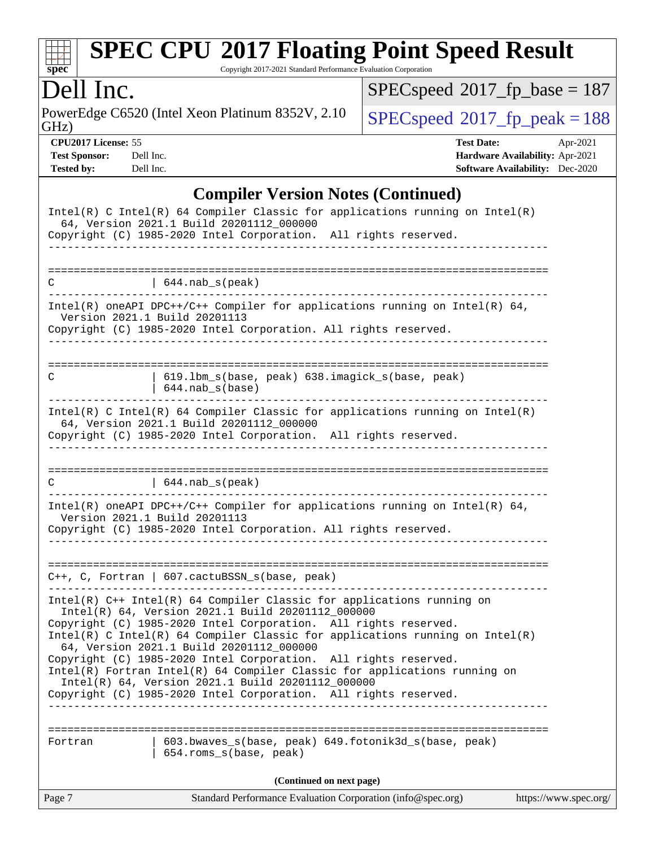# **[SPEC CPU](http://www.spec.org/auto/cpu2017/Docs/result-fields.html#SPECCPU2017FloatingPointSpeedResult)[2017 Floating Point Speed Result](http://www.spec.org/auto/cpu2017/Docs/result-fields.html#SPECCPU2017FloatingPointSpeedResult)**

Copyright 2017-2021 Standard Performance Evaluation Corporation

## Dell Inc.

PowerEdge C6520 (Intel Xeon Platinum 8352V, 2.10 GHz)

 $SPEC speed$ <sup>®</sup> $2017$ \_fp\_base = 187

 $SPECspeed*2017_fp\_peak = 188$  $SPECspeed*2017_fp\_peak = 188$ 

**[CPU2017 License:](http://www.spec.org/auto/cpu2017/Docs/result-fields.html#CPU2017License)** 55 **[Test Date:](http://www.spec.org/auto/cpu2017/Docs/result-fields.html#TestDate)** Apr-2021 **[Test Sponsor:](http://www.spec.org/auto/cpu2017/Docs/result-fields.html#TestSponsor)** Dell Inc. **[Hardware Availability:](http://www.spec.org/auto/cpu2017/Docs/result-fields.html#HardwareAvailability)** Apr-2021 **[Tested by:](http://www.spec.org/auto/cpu2017/Docs/result-fields.html#Testedby)** Dell Inc. **[Software Availability:](http://www.spec.org/auto/cpu2017/Docs/result-fields.html#SoftwareAvailability)** Dec-2020

#### **[Compiler Version Notes \(Continued\)](http://www.spec.org/auto/cpu2017/Docs/result-fields.html#CompilerVersionNotes)**

| $Intel(R)$ C Intel(R) 64 Compiler Classic for applications running on Intel(R)<br>64, Version 2021.1 Build 20201112_000000<br>Copyright (C) 1985-2020 Intel Corporation. All rights reserved.     |
|---------------------------------------------------------------------------------------------------------------------------------------------------------------------------------------------------|
|                                                                                                                                                                                                   |
| $(644.nab_s(peak))$<br>C<br>--------------------                                                                                                                                                  |
| $Intel(R)$ oneAPI DPC++/C++ Compiler for applications running on Intel(R) 64,<br>Version 2021.1 Build 20201113<br>Copyright (C) 1985-2020 Intel Corporation. All rights reserved.                 |
| 619.1bm_s(base, peak) 638.imagick_s(base, peak)<br>С<br>644.nab s(base)                                                                                                                           |
| $Intel(R)$ C Intel(R) 64 Compiler Classic for applications running on Intel(R)<br>64, Version 2021.1 Build 20201112_000000<br>Copyright (C) 1985-2020 Intel Corporation. All rights reserved.     |
| C<br>$\vert$ 644. nab_s(peak)                                                                                                                                                                     |
| Intel(R) oneAPI DPC++/C++ Compiler for applications running on Intel(R) 64,<br>Version 2021.1 Build 20201113<br>Copyright (C) 1985-2020 Intel Corporation. All rights reserved.                   |
| $C++$ , C, Fortran   607.cactuBSSN_s(base, peak)<br>_____________                                                                                                                                 |
| $Intel(R)$ C++ Intel(R) 64 Compiler Classic for applications running on<br>Intel(R) 64, Version 2021.1 Build 20201112_000000                                                                      |
| Copyright (C) 1985-2020 Intel Corporation. All rights reserved.<br>$Intel(R)$ C Intel(R) 64 Compiler Classic for applications running on Intel(R)<br>64, Version 2021.1 Build 20201112_000000     |
| Copyright (C) 1985-2020 Intel Corporation. All rights reserved.<br>Intel(R) Fortran Intel(R) 64 Compiler Classic for applications running on<br>Intel(R) 64, Version 2021.1 Build 20201112_000000 |
| Copyright (C) 1985-2020 Intel Corporation. All rights reserved.                                                                                                                                   |
| 603.bwaves_s(base, peak) 649.fotonik3d_s(base, peak)<br>Fortran<br>654.roms_s(base, peak)                                                                                                         |
| (Continued on next page)                                                                                                                                                                          |
| Standard Performance Evaluation Corporation (info@spec.org)<br>https://www.spec.org/<br>Page 7                                                                                                    |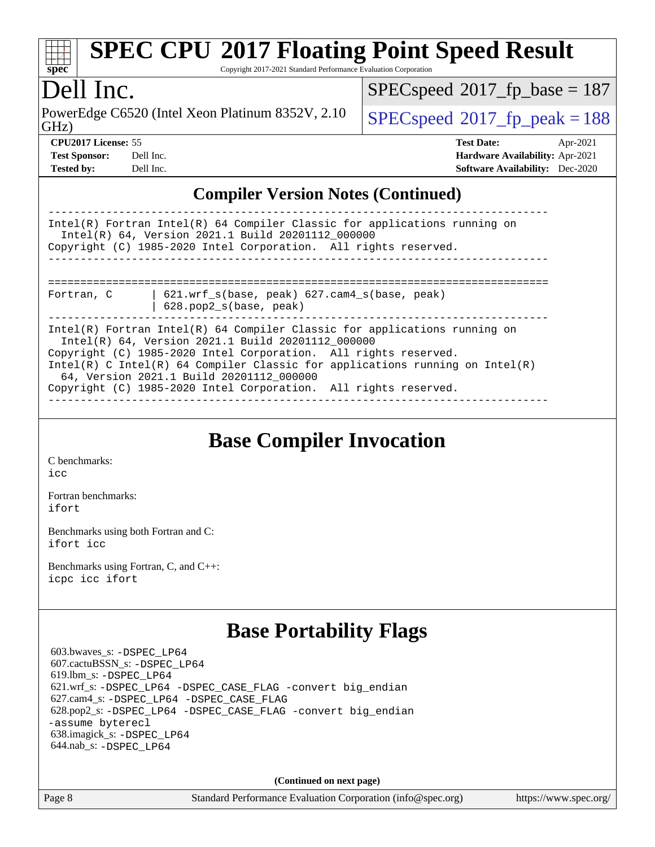| <b>SPEC CPU®2017 Floating Point Speed Result</b><br>spec<br>Copyright 2017-2021 Standard Performance Evaluation Corporation                                                                                                                                                                                                                                                                      |                                                                                                            |  |  |  |  |  |
|--------------------------------------------------------------------------------------------------------------------------------------------------------------------------------------------------------------------------------------------------------------------------------------------------------------------------------------------------------------------------------------------------|------------------------------------------------------------------------------------------------------------|--|--|--|--|--|
| Dell Inc.                                                                                                                                                                                                                                                                                                                                                                                        | $SPEC speed^{\circ}2017\_fp\_base = 187$                                                                   |  |  |  |  |  |
| PowerEdge C6520 (Intel Xeon Platinum 8352V, 2.10)<br>GHz)                                                                                                                                                                                                                                                                                                                                        | $SPEC speed^{\circ}2017$ fp peak = 188                                                                     |  |  |  |  |  |
| <b>CPU2017 License: 55</b><br><b>Test Sponsor:</b><br>Dell Inc.<br><b>Tested by:</b><br>Dell Inc.                                                                                                                                                                                                                                                                                                | <b>Test Date:</b><br>Apr-2021<br>Hardware Availability: Apr-2021<br><b>Software Availability:</b> Dec-2020 |  |  |  |  |  |
| <b>Compiler Version Notes (Continued)</b>                                                                                                                                                                                                                                                                                                                                                        |                                                                                                            |  |  |  |  |  |
| Intel(R) Fortran Intel(R) 64 Compiler Classic for applications running on<br>Intel(R) 64, Version 2021.1 Build 20201112_000000<br>Copyright (C) 1985-2020 Intel Corporation. All rights reserved.                                                                                                                                                                                                |                                                                                                            |  |  |  |  |  |
| 621.wrf_s(base, peak) 627.cam4_s(base, peak)<br>Fortran, C<br>628.pop2_s(base, peak)                                                                                                                                                                                                                                                                                                             |                                                                                                            |  |  |  |  |  |
| Intel(R) Fortran Intel(R) 64 Compiler Classic for applications running on<br>Intel(R) 64, Version 2021.1 Build 20201112 000000<br>Copyright (C) 1985-2020 Intel Corporation. All rights reserved.<br>Intel(R) C Intel(R) 64 Compiler Classic for applications running on Intel(R)<br>64, Version 2021.1 Build 20201112_000000<br>Copyright (C) 1985-2020 Intel Corporation. All rights reserved. |                                                                                                            |  |  |  |  |  |
| <b>Base Compiler Invocation</b>                                                                                                                                                                                                                                                                                                                                                                  |                                                                                                            |  |  |  |  |  |
| C benchmarks:<br>icc                                                                                                                                                                                                                                                                                                                                                                             |                                                                                                            |  |  |  |  |  |
| Fortran benchmarks:<br>ifort                                                                                                                                                                                                                                                                                                                                                                     |                                                                                                            |  |  |  |  |  |
| Benchmarks using both Fortran and C:<br>ifort icc                                                                                                                                                                                                                                                                                                                                                |                                                                                                            |  |  |  |  |  |
| Benchmarks using Fortran, C, and C++:<br>icpc icc ifort                                                                                                                                                                                                                                                                                                                                          |                                                                                                            |  |  |  |  |  |
| <b>Base Portability Flags</b>                                                                                                                                                                                                                                                                                                                                                                    |                                                                                                            |  |  |  |  |  |
| 603.bwaves_s: -DSPEC_LP64<br>607.cactuBSSN_s: -DSPEC_LP64<br>619.lbm_s: -DSPEC LP64<br>621.wrf_s: -DSPEC_LP64 -DSPEC_CASE_FLAG -convert big_endian<br>627.cam4_s: -DSPEC_LP64 -DSPEC_CASE_FLAG<br>628.pop2_s: -DSPEC_LP64 -DSPEC_CASE_FLAG -convert big_endian<br>-assume byterecl<br>638.imagick_s: -DSPEC_LP64<br>644.nab_s: -DSPEC_LP64                                                       |                                                                                                            |  |  |  |  |  |
| (Continued on next page)                                                                                                                                                                                                                                                                                                                                                                         |                                                                                                            |  |  |  |  |  |

Page 8 Standard Performance Evaluation Corporation [\(info@spec.org\)](mailto:info@spec.org) <https://www.spec.org/>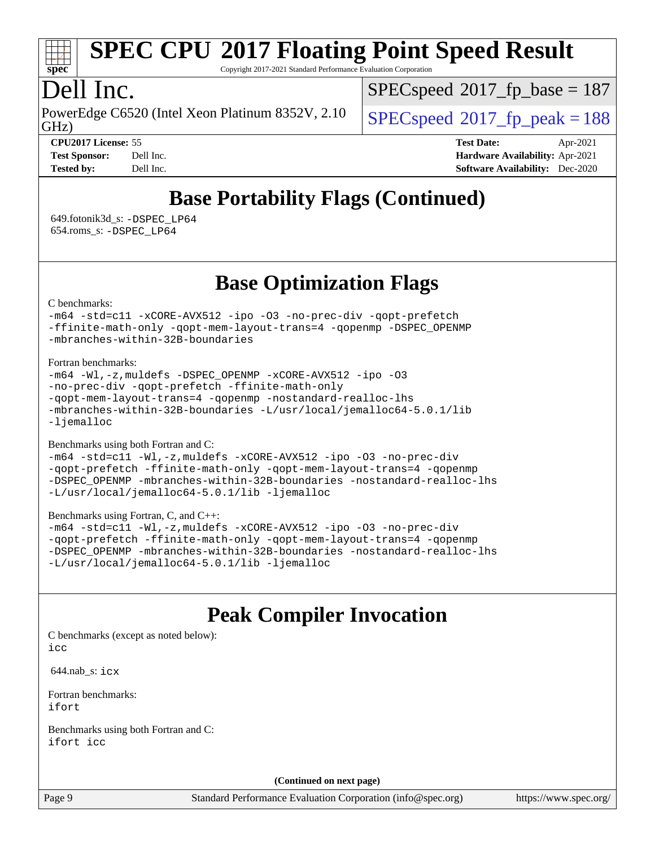

# **[SPEC CPU](http://www.spec.org/auto/cpu2017/Docs/result-fields.html#SPECCPU2017FloatingPointSpeedResult)[2017 Floating Point Speed Result](http://www.spec.org/auto/cpu2017/Docs/result-fields.html#SPECCPU2017FloatingPointSpeedResult)**

Copyright 2017-2021 Standard Performance Evaluation Corporation

## Dell Inc.

GHz) PowerEdge C6520 (Intel Xeon Platinum 8352V, 2.10  $\big|$  [SPECspeed](http://www.spec.org/auto/cpu2017/Docs/result-fields.html#SPECspeed2017fppeak)<sup>®</sup>2017 fp\_peak = 188

[SPECspeed](http://www.spec.org/auto/cpu2017/Docs/result-fields.html#SPECspeed2017fpbase)<sup>®</sup>2017 fp base = 187

**[CPU2017 License:](http://www.spec.org/auto/cpu2017/Docs/result-fields.html#CPU2017License)** 55 **[Test Date:](http://www.spec.org/auto/cpu2017/Docs/result-fields.html#TestDate)** Apr-2021 **[Test Sponsor:](http://www.spec.org/auto/cpu2017/Docs/result-fields.html#TestSponsor)** Dell Inc. **[Hardware Availability:](http://www.spec.org/auto/cpu2017/Docs/result-fields.html#HardwareAvailability)** Apr-2021 **[Tested by:](http://www.spec.org/auto/cpu2017/Docs/result-fields.html#Testedby)** Dell Inc. **[Software Availability:](http://www.spec.org/auto/cpu2017/Docs/result-fields.html#SoftwareAvailability)** Dec-2020

## **[Base Portability Flags \(Continued\)](http://www.spec.org/auto/cpu2017/Docs/result-fields.html#BasePortabilityFlags)**

 649.fotonik3d\_s: [-DSPEC\\_LP64](http://www.spec.org/cpu2017/results/res2021q2/cpu2017-20210510-26108.flags.html#suite_basePORTABILITY649_fotonik3d_s_DSPEC_LP64) 654.roms\_s: [-DSPEC\\_LP64](http://www.spec.org/cpu2017/results/res2021q2/cpu2017-20210510-26108.flags.html#suite_basePORTABILITY654_roms_s_DSPEC_LP64)

### **[Base Optimization Flags](http://www.spec.org/auto/cpu2017/Docs/result-fields.html#BaseOptimizationFlags)**

[C benchmarks](http://www.spec.org/auto/cpu2017/Docs/result-fields.html#Cbenchmarks):

[-m64](http://www.spec.org/cpu2017/results/res2021q2/cpu2017-20210510-26108.flags.html#user_CCbase_m64-icc) [-std=c11](http://www.spec.org/cpu2017/results/res2021q2/cpu2017-20210510-26108.flags.html#user_CCbase_std-icc-std_0e1c27790398a4642dfca32ffe6c27b5796f9c2d2676156f2e42c9c44eaad0c049b1cdb667a270c34d979996257aeb8fc440bfb01818dbc9357bd9d174cb8524) [-xCORE-AVX512](http://www.spec.org/cpu2017/results/res2021q2/cpu2017-20210510-26108.flags.html#user_CCbase_f-xCORE-AVX512) [-ipo](http://www.spec.org/cpu2017/results/res2021q2/cpu2017-20210510-26108.flags.html#user_CCbase_f-ipo) [-O3](http://www.spec.org/cpu2017/results/res2021q2/cpu2017-20210510-26108.flags.html#user_CCbase_f-O3) [-no-prec-div](http://www.spec.org/cpu2017/results/res2021q2/cpu2017-20210510-26108.flags.html#user_CCbase_f-no-prec-div) [-qopt-prefetch](http://www.spec.org/cpu2017/results/res2021q2/cpu2017-20210510-26108.flags.html#user_CCbase_f-qopt-prefetch) [-ffinite-math-only](http://www.spec.org/cpu2017/results/res2021q2/cpu2017-20210510-26108.flags.html#user_CCbase_f_finite_math_only_cb91587bd2077682c4b38af759c288ed7c732db004271a9512da14a4f8007909a5f1427ecbf1a0fb78ff2a814402c6114ac565ca162485bbcae155b5e4258871) [-qopt-mem-layout-trans=4](http://www.spec.org/cpu2017/results/res2021q2/cpu2017-20210510-26108.flags.html#user_CCbase_f-qopt-mem-layout-trans_fa39e755916c150a61361b7846f310bcdf6f04e385ef281cadf3647acec3f0ae266d1a1d22d972a7087a248fd4e6ca390a3634700869573d231a252c784941a8) [-qopenmp](http://www.spec.org/cpu2017/results/res2021q2/cpu2017-20210510-26108.flags.html#user_CCbase_qopenmp_16be0c44f24f464004c6784a7acb94aca937f053568ce72f94b139a11c7c168634a55f6653758ddd83bcf7b8463e8028bb0b48b77bcddc6b78d5d95bb1df2967) [-DSPEC\\_OPENMP](http://www.spec.org/cpu2017/results/res2021q2/cpu2017-20210510-26108.flags.html#suite_CCbase_DSPEC_OPENMP) [-mbranches-within-32B-boundaries](http://www.spec.org/cpu2017/results/res2021q2/cpu2017-20210510-26108.flags.html#user_CCbase_f-mbranches-within-32B-boundaries)

[Fortran benchmarks](http://www.spec.org/auto/cpu2017/Docs/result-fields.html#Fortranbenchmarks):

```
-m64 -Wl,-z,muldefs -DSPEC_OPENMP -xCORE-AVX512 -ipo -O3
-no-prec-div -qopt-prefetch -ffinite-math-only
-qopt-mem-layout-trans=4 -qopenmp -nostandard-realloc-lhs
-mbranches-within-32B-boundaries -L/usr/local/jemalloc64-5.0.1/lib
-ljemalloc
```
[Benchmarks using both Fortran and C](http://www.spec.org/auto/cpu2017/Docs/result-fields.html#BenchmarksusingbothFortranandC):

```
-m64 -std=c11 -Wl,-z,muldefs -xCORE-AVX512 -ipo -O3 -no-prec-div
-qopt-prefetch -ffinite-math-only -qopt-mem-layout-trans=4 -qopenmp
-DSPEC_OPENMP -mbranches-within-32B-boundaries -nostandard-realloc-lhs
-L/usr/local/jemalloc64-5.0.1/lib -ljemalloc
```
[Benchmarks using Fortran, C, and C++:](http://www.spec.org/auto/cpu2017/Docs/result-fields.html#BenchmarksusingFortranCandCXX)

```
-m64 -std=c11 -Wl,-z,muldefs -xCORE-AVX512 -ipo -O3 -no-prec-div
-qopt-prefetch -ffinite-math-only -qopt-mem-layout-trans=4 -qopenmp
-DSPEC_OPENMP -mbranches-within-32B-boundaries -nostandard-realloc-lhs
-L/usr/local/jemalloc64-5.0.1/lib -ljemalloc
```
## **[Peak Compiler Invocation](http://www.spec.org/auto/cpu2017/Docs/result-fields.html#PeakCompilerInvocation)**

[C benchmarks \(except as noted below\)](http://www.spec.org/auto/cpu2017/Docs/result-fields.html#Cbenchmarksexceptasnotedbelow):  $i$ cc

644.nab\_s: [icx](http://www.spec.org/cpu2017/results/res2021q2/cpu2017-20210510-26108.flags.html#user_peakCCLD644_nab_s_intel_icx_fe2d28d19ae2a5db7c42fe0f2a2aed77cb715edd4aeb23434404a8be6683fe239869bb6ca8154ca98265c2e3b9226a719a0efe2953a4a7018c379b7010ccf087)

[Fortran benchmarks](http://www.spec.org/auto/cpu2017/Docs/result-fields.html#Fortranbenchmarks): [ifort](http://www.spec.org/cpu2017/results/res2021q2/cpu2017-20210510-26108.flags.html#user_FCpeak_intel_ifort_8111460550e3ca792625aed983ce982f94888b8b503583aa7ba2b8303487b4d8a21a13e7191a45c5fd58ff318f48f9492884d4413fa793fd88dd292cad7027ca)

[Benchmarks using both Fortran and C](http://www.spec.org/auto/cpu2017/Docs/result-fields.html#BenchmarksusingbothFortranandC): [ifort](http://www.spec.org/cpu2017/results/res2021q2/cpu2017-20210510-26108.flags.html#user_CC_FCpeak_intel_ifort_8111460550e3ca792625aed983ce982f94888b8b503583aa7ba2b8303487b4d8a21a13e7191a45c5fd58ff318f48f9492884d4413fa793fd88dd292cad7027ca) [icc](http://www.spec.org/cpu2017/results/res2021q2/cpu2017-20210510-26108.flags.html#user_CC_FCpeak_intel_icc_66fc1ee009f7361af1fbd72ca7dcefbb700085f36577c54f309893dd4ec40d12360134090235512931783d35fd58c0460139e722d5067c5574d8eaf2b3e37e92)

**(Continued on next page)**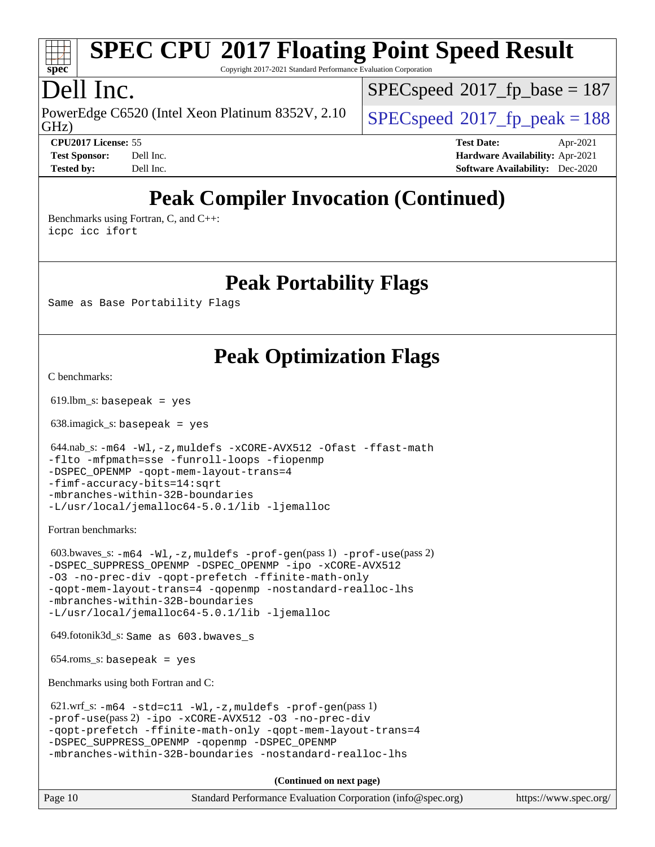# **[SPEC CPU](http://www.spec.org/auto/cpu2017/Docs/result-fields.html#SPECCPU2017FloatingPointSpeedResult)[2017 Floating Point Speed Result](http://www.spec.org/auto/cpu2017/Docs/result-fields.html#SPECCPU2017FloatingPointSpeedResult)**

Copyright 2017-2021 Standard Performance Evaluation Corporation

## Dell Inc.

GHz) PowerEdge C6520 (Intel Xeon Platinum 8352V, 2.10  $\big|$  [SPECspeed](http://www.spec.org/auto/cpu2017/Docs/result-fields.html#SPECspeed2017fppeak)<sup>®</sup>2017 fp\_peak = 188

[SPECspeed](http://www.spec.org/auto/cpu2017/Docs/result-fields.html#SPECspeed2017fpbase)<sup>®</sup>2017 fp base = 187

**[Tested by:](http://www.spec.org/auto/cpu2017/Docs/result-fields.html#Testedby)** Dell Inc. **[Software Availability:](http://www.spec.org/auto/cpu2017/Docs/result-fields.html#SoftwareAvailability)** Dec-2020

**[CPU2017 License:](http://www.spec.org/auto/cpu2017/Docs/result-fields.html#CPU2017License)** 55 **[Test Date:](http://www.spec.org/auto/cpu2017/Docs/result-fields.html#TestDate)** Apr-2021 **[Test Sponsor:](http://www.spec.org/auto/cpu2017/Docs/result-fields.html#TestSponsor)** Dell Inc. **[Hardware Availability:](http://www.spec.org/auto/cpu2017/Docs/result-fields.html#HardwareAvailability)** Apr-2021

## **[Peak Compiler Invocation \(Continued\)](http://www.spec.org/auto/cpu2017/Docs/result-fields.html#PeakCompilerInvocation)**

[Benchmarks using Fortran, C, and C++:](http://www.spec.org/auto/cpu2017/Docs/result-fields.html#BenchmarksusingFortranCandCXX) [icpc](http://www.spec.org/cpu2017/results/res2021q2/cpu2017-20210510-26108.flags.html#user_CC_CXX_FCpeak_intel_icpc_c510b6838c7f56d33e37e94d029a35b4a7bccf4766a728ee175e80a419847e808290a9b78be685c44ab727ea267ec2f070ec5dc83b407c0218cded6866a35d07) [icc](http://www.spec.org/cpu2017/results/res2021q2/cpu2017-20210510-26108.flags.html#user_CC_CXX_FCpeak_intel_icc_66fc1ee009f7361af1fbd72ca7dcefbb700085f36577c54f309893dd4ec40d12360134090235512931783d35fd58c0460139e722d5067c5574d8eaf2b3e37e92) [ifort](http://www.spec.org/cpu2017/results/res2021q2/cpu2017-20210510-26108.flags.html#user_CC_CXX_FCpeak_intel_ifort_8111460550e3ca792625aed983ce982f94888b8b503583aa7ba2b8303487b4d8a21a13e7191a45c5fd58ff318f48f9492884d4413fa793fd88dd292cad7027ca)

#### **[Peak Portability Flags](http://www.spec.org/auto/cpu2017/Docs/result-fields.html#PeakPortabilityFlags)**

Same as Base Portability Flags

## **[Peak Optimization Flags](http://www.spec.org/auto/cpu2017/Docs/result-fields.html#PeakOptimizationFlags)**

[C benchmarks](http://www.spec.org/auto/cpu2017/Docs/result-fields.html#Cbenchmarks):

 $619.$ lbm\_s: basepeak = yes

638.imagick\_s: basepeak = yes

 644.nab\_s: [-m64](http://www.spec.org/cpu2017/results/res2021q2/cpu2017-20210510-26108.flags.html#user_peakCCLD644_nab_s_m64-icc) [-Wl,-z,muldefs](http://www.spec.org/cpu2017/results/res2021q2/cpu2017-20210510-26108.flags.html#user_peakEXTRA_LDFLAGS644_nab_s_link_force_multiple1_b4cbdb97b34bdee9ceefcfe54f4c8ea74255f0b02a4b23e853cdb0e18eb4525ac79b5a88067c842dd0ee6996c24547a27a4b99331201badda8798ef8a743f577) [-xCORE-AVX512](http://www.spec.org/cpu2017/results/res2021q2/cpu2017-20210510-26108.flags.html#user_peakCOPTIMIZE644_nab_s_f-xCORE-AVX512) [-Ofast](http://www.spec.org/cpu2017/results/res2021q2/cpu2017-20210510-26108.flags.html#user_peakCOPTIMIZE644_nab_s_f-Ofast) [-ffast-math](http://www.spec.org/cpu2017/results/res2021q2/cpu2017-20210510-26108.flags.html#user_peakCOPTIMIZE644_nab_s_f-ffast-math) [-flto](http://www.spec.org/cpu2017/results/res2021q2/cpu2017-20210510-26108.flags.html#user_peakCOPTIMIZE644_nab_s_f-flto) [-mfpmath=sse](http://www.spec.org/cpu2017/results/res2021q2/cpu2017-20210510-26108.flags.html#user_peakCOPTIMIZE644_nab_s_f-mfpmath_70eb8fac26bde974f8ab713bc9086c5621c0b8d2f6c86f38af0bd7062540daf19db5f3a066d8c6684be05d84c9b6322eb3b5be6619d967835195b93d6c02afa1) [-funroll-loops](http://www.spec.org/cpu2017/results/res2021q2/cpu2017-20210510-26108.flags.html#user_peakCOPTIMIZE644_nab_s_f-funroll-loops) [-fiopenmp](http://www.spec.org/cpu2017/results/res2021q2/cpu2017-20210510-26108.flags.html#user_peakCOPTIMIZE644_nab_s_fiopenmp_4cde26b3fcccd23bd0bb70af4efc204325d72839eefa1147e34201101709f20b3deb62aad96701dea148529bf4ca48c90b72f3bf837ca148e297cf8a0ba6feb7) -DSPEC OPENMP [-qopt-mem-layout-trans=4](http://www.spec.org/cpu2017/results/res2021q2/cpu2017-20210510-26108.flags.html#user_peakCOPTIMIZE644_nab_s_f-qopt-mem-layout-trans_fa39e755916c150a61361b7846f310bcdf6f04e385ef281cadf3647acec3f0ae266d1a1d22d972a7087a248fd4e6ca390a3634700869573d231a252c784941a8) [-fimf-accuracy-bits=14:sqrt](http://www.spec.org/cpu2017/results/res2021q2/cpu2017-20210510-26108.flags.html#user_peakEXTRA_OPTIMIZE644_nab_s_f-imf-accuracy-bits_dec3764af0c61f52590ca8f859bc2b38948cb3a9f4bd45f959a8dd6743142ff5c0d5c89fdfba8d7c6d41a5122d7dc4d32797a5effd20a981baa30839b7373d7d) [-mbranches-within-32B-boundaries](http://www.spec.org/cpu2017/results/res2021q2/cpu2017-20210510-26108.flags.html#user_peakEXTRA_COPTIMIZEEXTRA_OPTIMIZE644_nab_s_f-mbranches-within-32B-boundaries) [-L/usr/local/jemalloc64-5.0.1/lib](http://www.spec.org/cpu2017/results/res2021q2/cpu2017-20210510-26108.flags.html#user_peakEXTRA_LIBS644_nab_s_jemalloc_link_path64_1_cc289568b1a6c0fd3b62c91b824c27fcb5af5e8098e6ad028160d21144ef1b8aef3170d2acf0bee98a8da324cfe4f67d0a3d0c4cc4673d993d694dc2a0df248b) [-ljemalloc](http://www.spec.org/cpu2017/results/res2021q2/cpu2017-20210510-26108.flags.html#user_peakEXTRA_LIBS644_nab_s_jemalloc_link_lib_d1249b907c500fa1c0672f44f562e3d0f79738ae9e3c4a9c376d49f265a04b9c99b167ecedbf6711b3085be911c67ff61f150a17b3472be731631ba4d0471706)

[Fortran benchmarks](http://www.spec.org/auto/cpu2017/Docs/result-fields.html#Fortranbenchmarks):

 603.bwaves\_s: [-m64](http://www.spec.org/cpu2017/results/res2021q2/cpu2017-20210510-26108.flags.html#user_peakFCLD603_bwaves_s_m64-icc) [-Wl,-z,muldefs](http://www.spec.org/cpu2017/results/res2021q2/cpu2017-20210510-26108.flags.html#user_peakEXTRA_LDFLAGS603_bwaves_s_link_force_multiple1_b4cbdb97b34bdee9ceefcfe54f4c8ea74255f0b02a4b23e853cdb0e18eb4525ac79b5a88067c842dd0ee6996c24547a27a4b99331201badda8798ef8a743f577) [-prof-gen](http://www.spec.org/cpu2017/results/res2021q2/cpu2017-20210510-26108.flags.html#user_peakPASS1_FFLAGSPASS1_LDFLAGS603_bwaves_s_prof_gen_5aa4926d6013ddb2a31985c654b3eb18169fc0c6952a63635c234f711e6e63dd76e94ad52365559451ec499a2cdb89e4dc58ba4c67ef54ca681ffbe1461d6b36)(pass 1) [-prof-use](http://www.spec.org/cpu2017/results/res2021q2/cpu2017-20210510-26108.flags.html#user_peakPASS2_FFLAGSPASS2_LDFLAGS603_bwaves_s_prof_use_1a21ceae95f36a2b53c25747139a6c16ca95bd9def2a207b4f0849963b97e94f5260e30a0c64f4bb623698870e679ca08317ef8150905d41bd88c6f78df73f19)(pass 2) [-DSPEC\\_SUPPRESS\\_OPENMP](http://www.spec.org/cpu2017/results/res2021q2/cpu2017-20210510-26108.flags.html#suite_peakPASS1_FOPTIMIZE603_bwaves_s_DSPEC_SUPPRESS_OPENMP) [-DSPEC\\_OPENMP](http://www.spec.org/cpu2017/results/res2021q2/cpu2017-20210510-26108.flags.html#suite_peakPASS2_FOPTIMIZE603_bwaves_s_DSPEC_OPENMP) [-ipo](http://www.spec.org/cpu2017/results/res2021q2/cpu2017-20210510-26108.flags.html#user_peakPASS1_FOPTIMIZEPASS2_FOPTIMIZE603_bwaves_s_f-ipo) [-xCORE-AVX512](http://www.spec.org/cpu2017/results/res2021q2/cpu2017-20210510-26108.flags.html#user_peakPASS2_FOPTIMIZE603_bwaves_s_f-xCORE-AVX512) [-O3](http://www.spec.org/cpu2017/results/res2021q2/cpu2017-20210510-26108.flags.html#user_peakPASS1_FOPTIMIZEPASS2_FOPTIMIZE603_bwaves_s_f-O3) [-no-prec-div](http://www.spec.org/cpu2017/results/res2021q2/cpu2017-20210510-26108.flags.html#user_peakPASS1_FOPTIMIZEPASS2_FOPTIMIZE603_bwaves_s_f-no-prec-div) [-qopt-prefetch](http://www.spec.org/cpu2017/results/res2021q2/cpu2017-20210510-26108.flags.html#user_peakPASS1_FOPTIMIZEPASS2_FOPTIMIZE603_bwaves_s_f-qopt-prefetch) [-ffinite-math-only](http://www.spec.org/cpu2017/results/res2021q2/cpu2017-20210510-26108.flags.html#user_peakPASS1_FOPTIMIZEPASS2_FOPTIMIZE603_bwaves_s_f_finite_math_only_cb91587bd2077682c4b38af759c288ed7c732db004271a9512da14a4f8007909a5f1427ecbf1a0fb78ff2a814402c6114ac565ca162485bbcae155b5e4258871) [-qopt-mem-layout-trans=4](http://www.spec.org/cpu2017/results/res2021q2/cpu2017-20210510-26108.flags.html#user_peakPASS1_FOPTIMIZEPASS2_FOPTIMIZE603_bwaves_s_f-qopt-mem-layout-trans_fa39e755916c150a61361b7846f310bcdf6f04e385ef281cadf3647acec3f0ae266d1a1d22d972a7087a248fd4e6ca390a3634700869573d231a252c784941a8) [-qopenmp](http://www.spec.org/cpu2017/results/res2021q2/cpu2017-20210510-26108.flags.html#user_peakPASS2_FOPTIMIZE603_bwaves_s_qopenmp_16be0c44f24f464004c6784a7acb94aca937f053568ce72f94b139a11c7c168634a55f6653758ddd83bcf7b8463e8028bb0b48b77bcddc6b78d5d95bb1df2967) [-nostandard-realloc-lhs](http://www.spec.org/cpu2017/results/res2021q2/cpu2017-20210510-26108.flags.html#user_peakEXTRA_FOPTIMIZE603_bwaves_s_f_2003_std_realloc_82b4557e90729c0f113870c07e44d33d6f5a304b4f63d4c15d2d0f1fab99f5daaed73bdb9275d9ae411527f28b936061aa8b9c8f2d63842963b95c9dd6426b8a) [-mbranches-within-32B-boundaries](http://www.spec.org/cpu2017/results/res2021q2/cpu2017-20210510-26108.flags.html#user_peakEXTRA_FOPTIMIZE603_bwaves_s_f-mbranches-within-32B-boundaries) [-L/usr/local/jemalloc64-5.0.1/lib](http://www.spec.org/cpu2017/results/res2021q2/cpu2017-20210510-26108.flags.html#user_peakEXTRA_LIBS603_bwaves_s_jemalloc_link_path64_1_cc289568b1a6c0fd3b62c91b824c27fcb5af5e8098e6ad028160d21144ef1b8aef3170d2acf0bee98a8da324cfe4f67d0a3d0c4cc4673d993d694dc2a0df248b) [-ljemalloc](http://www.spec.org/cpu2017/results/res2021q2/cpu2017-20210510-26108.flags.html#user_peakEXTRA_LIBS603_bwaves_s_jemalloc_link_lib_d1249b907c500fa1c0672f44f562e3d0f79738ae9e3c4a9c376d49f265a04b9c99b167ecedbf6711b3085be911c67ff61f150a17b3472be731631ba4d0471706)

649.fotonik3d\_s: Same as 603.bwaves\_s

 $654$ .roms\_s: basepeak = yes

[Benchmarks using both Fortran and C](http://www.spec.org/auto/cpu2017/Docs/result-fields.html#BenchmarksusingbothFortranandC):

```
621.wrf_s: -m64 -std= c11 -Wl, -z, muldefs -prof-gen(pass 1)-prof-use(pass 2) -ipo -xCORE-AVX512 -O3 -no-prec-div
-qopt-prefetch -ffinite-math-only -qopt-mem-layout-trans=4
-DSPEC_SUPPRESS_OPENMP -qopenmp -DSPEC_OPENMP
-mbranches-within-32B-boundaries -nostandard-realloc-lhs
```
**(Continued on next page)**